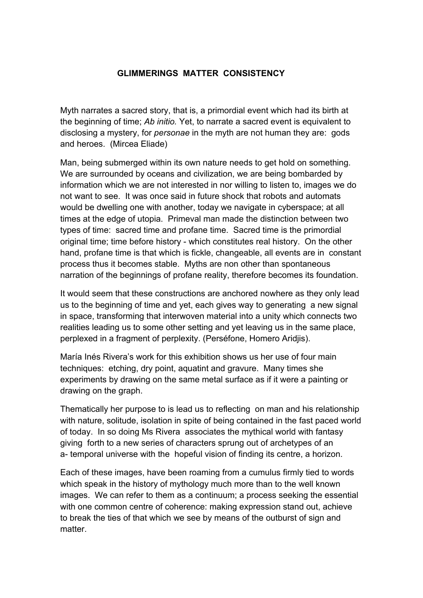## **GLIMMERINGS MATTER CONSISTENCY**

Myth narrates a sacred story, that is, a primordial event which had its birth at the beginning of time; *Ab initio.* Yet, to narrate a sacred event is equivalent to disclosing a mystery, for *personae* in the myth are not human they are: gods and heroes. (Mircea Eliade)

Man, being submerged within its own nature needs to get hold on something. We are surrounded by oceans and civilization, we are being bombarded by information which we are not interested in nor willing to listen to, images we do not want to see. It was once said in future shock that robots and automats would be dwelling one with another, today we navigate in cyberspace; at all times at the edge of utopia. Primeval man made the distinction between two types of time: sacred time and profane time. Sacred time is the primordial original time; time before history - which constitutes real history. On the other hand, profane time is that which is fickle, changeable, all events are in constant process thus it becomes stable. Myths are non other than spontaneous narration of the beginnings of profane reality, therefore becomes its foundation.

It would seem that these constructions are anchored nowhere as they only lead us to the beginning of time and yet, each gives way to generating a new signal in space, transforming that interwoven material into a unity which connects two realities leading us to some other setting and yet leaving us in the same place, perplexed in a fragment of perplexity. (Perséfone, Homero Aridjis).

María Inés Rivera's work for this exhibition shows us her use of four main techniques: etching, dry point, aquatint and gravure. Many times she experiments by drawing on the same metal surface as if it were a painting or drawing on the graph.

Thematically her purpose to is lead us to reflecting on man and his relationship with nature, solitude, isolation in spite of being contained in the fast paced world of today. In so doing Ms Rivera associates the mythical world with fantasy giving forth to a new series of characters sprung out of archetypes of an a- temporal universe with the hopeful vision of finding its centre, a horizon.

Each of these images, have been roaming from a cumulus firmly tied to words which speak in the history of mythology much more than to the well known images. We can refer to them as a continuum; a process seeking the essential with one common centre of coherence: making expression stand out, achieve to break the ties of that which we see by means of the outburst of sign and matter.